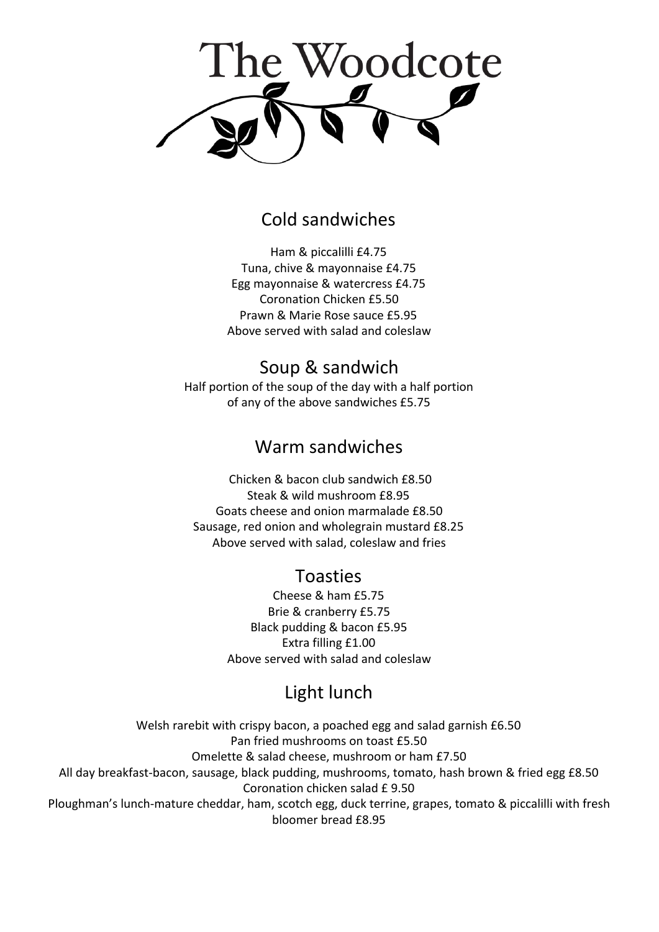

## Cold sandwiches

Ham & piccalilli £4.75 Tuna, chive & mayonnaise £4.75 Egg mayonnaise & watercress £4.75 Coronation Chicken £5.50 Prawn & Marie Rose sauce £5.95 Above served with salad and coleslaw

## Soup & sandwich

Half portion of the soup of the day with a half portion of any of the above sandwiches £5.75

### Warm sandwiches

Chicken & bacon club sandwich £8.50 Steak & wild mushroom £8.95 Goats cheese and onion marmalade £8.50 Sausage, red onion and wholegrain mustard £8.25 Above served with salad, coleslaw and fries

## Toasties

Cheese & ham £5.75 Brie & cranberry £5.75 Black pudding & bacon £5.95 Extra filling £1.00 Above served with salad and coleslaw

# Light lunch

Welsh rarebit with crispy bacon, a poached egg and salad garnish £6.50 Pan fried mushrooms on toast £5.50 Omelette & salad cheese, mushroom or ham £7.50 All day breakfast-bacon, sausage, black pudding, mushrooms, tomato, hash brown & fried egg £8.50 Coronation chicken salad £ 9.50 Ploughman's lunch-mature cheddar, ham, scotch egg, duck terrine, grapes, tomato & piccalilli with fresh bloomer bread £8.95